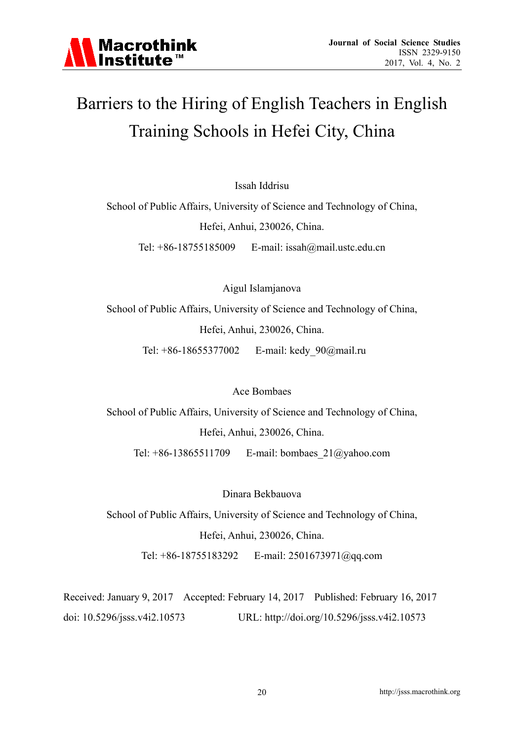

# Barriers to the Hiring of English Teachers in English Training Schools in Hefei City, China

Issah Iddrisu

School of Public Affairs, University of Science and Technology of China, Hefei, Anhui, 230026, China.

Tel: +86-18755185009 E-mail: issah@mail.ustc.edu.cn

Aigul Islamjanova

School of Public Affairs, University of Science and Technology of China, Hefei, Anhui, 230026, China. Tel: +86-18655377002 E-mail: kedy 90@mail.ru

Ace Bombaes

School of Public Affairs, University of Science and Technology of China, Hefei, Anhui, 230026, China. Tel:  $+86-13865511709$  E-mail: bombaes  $21@yahoo.com$ 

Dinara Bekbauova

School of Public Affairs, University of Science and Technology of China, Hefei, Anhui, 230026, China.

Tel: +86-18755183292 E-mail: 2501673971@qq.com

Received: January 9, 2017 Accepted: February 14, 2017 Published: February 16, 2017 doi: 10.5296/jsss.v4i2.10573 URL: http://doi.org/10.5296/jsss.v4i2.10573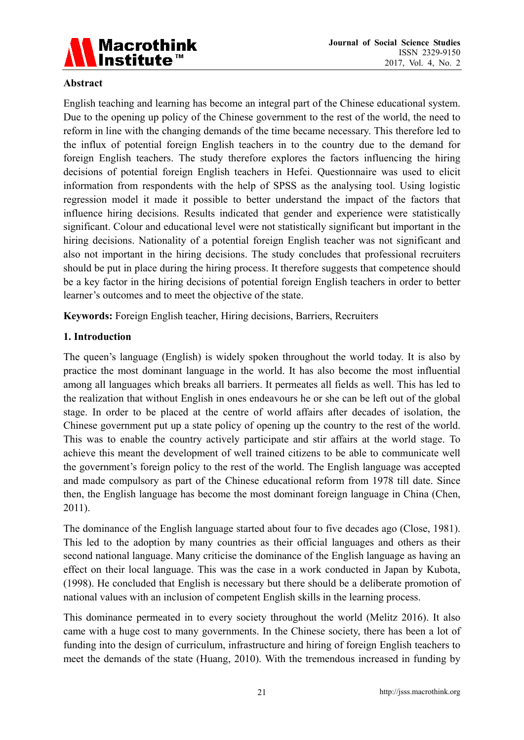

#### **Abstract**

English teaching and learning has become an integral part of the Chinese educational system. Due to the opening up policy of the Chinese government to the rest of the world, the need to reform in line with the changing demands of the time became necessary. This therefore led to the influx of potential foreign English teachers in to the country due to the demand for foreign English teachers. The study therefore explores the factors influencing the hiring decisions of potential foreign English teachers in Hefei. Questionnaire was used to elicit information from respondents with the help of SPSS as the analysing tool. Using logistic regression model it made it possible to better understand the impact of the factors that influence hiring decisions. Results indicated that gender and experience were statistically significant. Colour and educational level were not statistically significant but important in the hiring decisions. Nationality of a potential foreign English teacher was not significant and also not important in the hiring decisions. The study concludes that professional recruiters should be put in place during the hiring process. It therefore suggests that competence should be a key factor in the hiring decisions of potential foreign English teachers in order to better learner's outcomes and to meet the objective of the state.

**Keywords:** Foreign English teacher, Hiring decisions, Barriers, Recruiters

## **1. Introduction**

The queen's language (English) is widely spoken throughout the world today. It is also by practice the most dominant language in the world. It has also become the most influential among all languages which breaks all barriers. It permeates all fields as well. This has led to the realization that without English in ones endeavours he or she can be left out of the global stage. In order to be placed at the centre of world affairs after decades of isolation, the Chinese government put up a state policy of opening up the country to the rest of the world. This was to enable the country actively participate and stir affairs at the world stage. To achieve this meant the development of well trained citizens to be able to communicate well the government's foreign policy to the rest of the world. The English language was accepted and made compulsory as part of the Chinese educational reform from 1978 till date. Since then, the English language has become the most dominant foreign language in China (Chen, 2011).

The dominance of the English language started about four to five decades ago (Close, 1981). This led to the adoption by many countries as their official languages and others as their second national language. Many criticise the dominance of the English language as having an effect on their local language. This was the case in a work conducted in Japan by Kubota, (1998). He concluded that English is necessary but there should be a deliberate promotion of national values with an inclusion of competent English skills in the learning process.

This dominance permeated in to every society throughout the world (Melitz 2016). It also came with a huge cost to many governments. In the Chinese society, there has been a lot of funding into the design of curriculum, infrastructure and hiring of foreign English teachers to meet the demands of the state (Huang, 2010). With the tremendous increased in funding by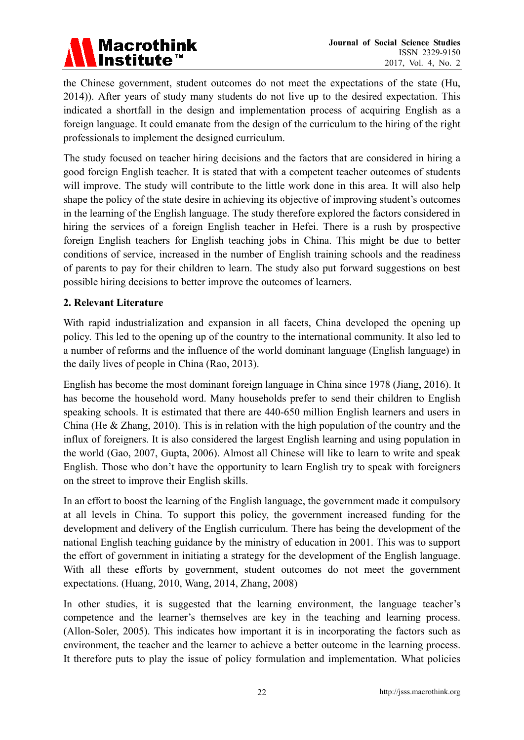

the Chinese government, student outcomes do not meet the expectations of the state (Hu, 2014)). After years of study many students do not live up to the desired expectation. This indicated a shortfall in the design and implementation process of acquiring English as a foreign language. It could emanate from the design of the curriculum to the hiring of the right professionals to implement the designed curriculum.

The study focused on teacher hiring decisions and the factors that are considered in hiring a good foreign English teacher. It is stated that with a competent teacher outcomes of students will improve. The study will contribute to the little work done in this area. It will also help shape the policy of the state desire in achieving its objective of improving student's outcomes in the learning of the English language. The study therefore explored the factors considered in hiring the services of a foreign English teacher in Hefei. There is a rush by prospective foreign English teachers for English teaching jobs in China. This might be due to better conditions of service, increased in the number of English training schools and the readiness of parents to pay for their children to learn. The study also put forward suggestions on best possible hiring decisions to better improve the outcomes of learners.

#### **2. Relevant Literature**

With rapid industrialization and expansion in all facets, China developed the opening up policy. This led to the opening up of the country to the international community. It also led to a number of reforms and the influence of the world dominant language (English language) in the daily lives of people in China (Rao, 2013).

English has become the most dominant foreign language in China since 1978 (Jiang, 2016). It has become the household word. Many households prefer to send their children to English speaking schools. It is estimated that there are 440-650 million English learners and users in China (He & Zhang, 2010). This is in relation with the high population of the country and the influx of foreigners. It is also considered the largest English learning and using population in the world (Gao, 2007, Gupta, 2006). Almost all Chinese will like to learn to write and speak English. Those who don't have the opportunity to learn English try to speak with foreigners on the street to improve their English skills.

In an effort to boost the learning of the English language, the government made it compulsory at all levels in China. To support this policy, the government increased funding for the development and delivery of the English curriculum. There has being the development of the national English teaching guidance by the ministry of education in 2001. This was to support the effort of government in initiating a strategy for the development of the English language. With all these efforts by government, student outcomes do not meet the government expectations. (Huang, 2010, Wang, 2014, Zhang, 2008)

In other studies, it is suggested that the learning environment, the language teacher's competence and the learner's themselves are key in the teaching and learning process. (Allon-Soler, 2005). This indicates how important it is in incorporating the factors such as environment, the teacher and the learner to achieve a better outcome in the learning process. It therefore puts to play the issue of policy formulation and implementation. What policies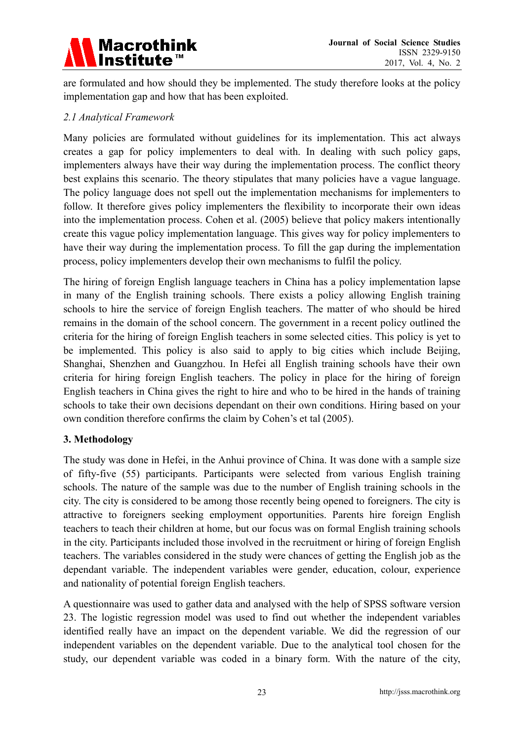# Macrothink<br>Institute™

are formulated and how should they be implemented. The study therefore looks at the policy implementation gap and how that has been exploited.

# *2.1 Analytical Framework*

Many policies are formulated without guidelines for its implementation. This act always creates a gap for policy implementers to deal with. In dealing with such policy gaps, implementers always have their way during the implementation process. The conflict theory best explains this scenario. The theory stipulates that many policies have a vague language. The policy language does not spell out the implementation mechanisms for implementers to follow. It therefore gives policy implementers the flexibility to incorporate their own ideas into the implementation process. Cohen et al. (2005) believe that policy makers intentionally create this vague policy implementation language. This gives way for policy implementers to have their way during the implementation process. To fill the gap during the implementation process, policy implementers develop their own mechanisms to fulfil the policy.

The hiring of foreign English language teachers in China has a policy implementation lapse in many of the English training schools. There exists a policy allowing English training schools to hire the service of foreign English teachers. The matter of who should be hired remains in the domain of the school concern. The government in a recent policy outlined the criteria for the hiring of foreign English teachers in some selected cities. This policy is yet to be implemented. This policy is also said to apply to big cities which include Beijing, Shanghai, Shenzhen and Guangzhou. In Hefei all English training schools have their own criteria for hiring foreign English teachers. The policy in place for the hiring of foreign English teachers in China gives the right to hire and who to be hired in the hands of training schools to take their own decisions dependant on their own conditions. Hiring based on your own condition therefore confirms the claim by Cohen's et tal (2005).

# **3. Methodology**

The study was done in Hefei, in the Anhui province of China. It was done with a sample size of fifty-five (55) participants. Participants were selected from various English training schools. The nature of the sample was due to the number of English training schools in the city. The city is considered to be among those recently being opened to foreigners. The city is attractive to foreigners seeking employment opportunities. Parents hire foreign English teachers to teach their children at home, but our focus was on formal English training schools in the city. Participants included those involved in the recruitment or hiring of foreign English teachers. The variables considered in the study were chances of getting the English job as the dependant variable. The independent variables were gender, education, colour, experience and nationality of potential foreign English teachers.

A questionnaire was used to gather data and analysed with the help of SPSS software version 23. The logistic regression model was used to find out whether the independent variables identified really have an impact on the dependent variable. We did the regression of our independent variables on the dependent variable. Due to the analytical tool chosen for the study, our dependent variable was coded in a binary form. With the nature of the city,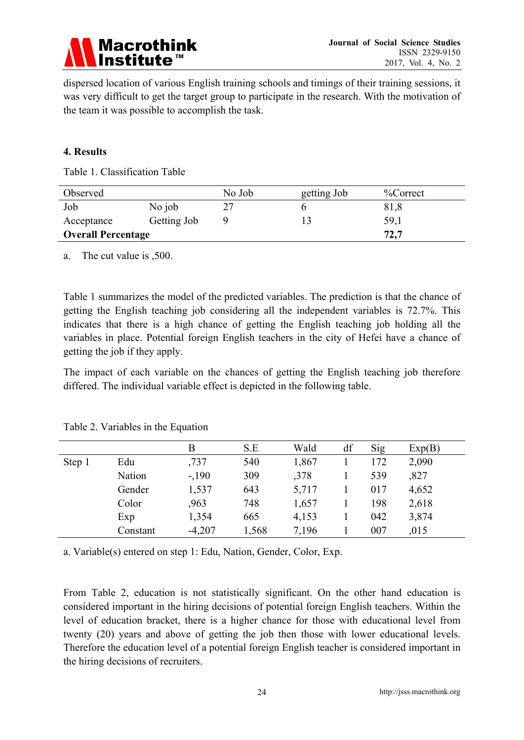

dispersed location of various English training schools and timings of their training sessions, it was very difficult to get the target group to participate in the research. With the motivation of the team it was possible to accomplish the task.

### **4. Results**

Table 1. Classification Table

| Observed                  |             | No Job | getting Job | $\%$ Correct |
|---------------------------|-------------|--------|-------------|--------------|
| Job                       | No job      |        |             | 81,8         |
| Acceptance                | Getting Job |        |             | 59,1         |
| <b>Overall Percentage</b> | 72,7        |        |             |              |

a. The cut value is ,500.

Table 1 summarizes the model of the predicted variables. The prediction is that the chance of getting the English teaching job considering all the independent variables is 72.7%. This indicates that there is a high chance of getting the English teaching job holding all the variables in place. Potential foreign English teachers in the city of Hefei have a chance of getting the job if they apply.

The impact of each variable on the chances of getting the English teaching job therefore differed. The individual variable effect is depicted in the following table.

|        |          | B        | S.E   | Wald  | df | Sig | Exp(B) |
|--------|----------|----------|-------|-------|----|-----|--------|
| Step 1 | Edu      | ,737     | 540   | 1,867 |    | 172 | 2,090  |
|        | Nation   | $-190$   | 309   | ,378  |    | 539 | ,827   |
|        | Gender   | 1,537    | 643   | 5,717 |    | 017 | 4,652  |
|        | Color    | ,963     | 748   | 1,657 |    | 198 | 2,618  |
|        | Exp      | 1,354    | 665   | 4,153 |    | 042 | 3,874  |
|        | Constant | $-4,207$ | 1,568 | 7,196 |    | 007 | ,015   |

Table 2. Variables in the Equation

a. Variable(s) entered on step 1: Edu, Nation, Gender, Color, Exp.

From Table 2, education is not statistically significant. On the other hand education is considered important in the hiring decisions of potential foreign English teachers. Within the level of education bracket, there is a higher chance for those with educational level from twenty (20) years and above of getting the job then those with lower educational levels. Therefore the education level of a potential foreign English teacher is considered important in the hiring decisions of recruiters.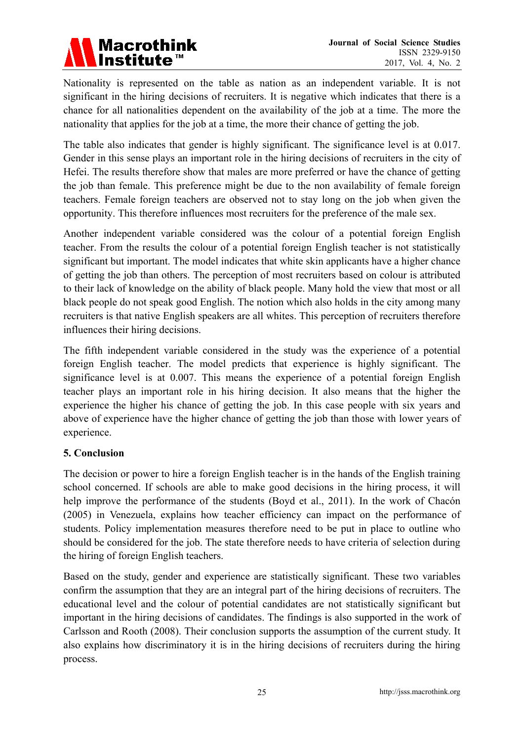

Nationality is represented on the table as nation as an independent variable. It is not significant in the hiring decisions of recruiters. It is negative which indicates that there is a chance for all nationalities dependent on the availability of the job at a time. The more the nationality that applies for the job at a time, the more their chance of getting the job.

The table also indicates that gender is highly significant. The significance level is at 0.017. Gender in this sense plays an important role in the hiring decisions of recruiters in the city of Hefei. The results therefore show that males are more preferred or have the chance of getting the job than female. This preference might be due to the non availability of female foreign teachers. Female foreign teachers are observed not to stay long on the job when given the opportunity. This therefore influences most recruiters for the preference of the male sex.

Another independent variable considered was the colour of a potential foreign English teacher. From the results the colour of a potential foreign English teacher is not statistically significant but important. The model indicates that white skin applicants have a higher chance of getting the job than others. The perception of most recruiters based on colour is attributed to their lack of knowledge on the ability of black people. Many hold the view that most or all black people do not speak good English. The notion which also holds in the city among many recruiters is that native English speakers are all whites. This perception of recruiters therefore influences their hiring decisions.

The fifth independent variable considered in the study was the experience of a potential foreign English teacher. The model predicts that experience is highly significant. The significance level is at 0.007. This means the experience of a potential foreign English teacher plays an important role in his hiring decision. It also means that the higher the experience the higher his chance of getting the job. In this case people with six years and above of experience have the higher chance of getting the job than those with lower years of experience.

# **5. Conclusion**

The decision or power to hire a foreign English teacher is in the hands of the English training school concerned. If schools are able to make good decisions in the hiring process, it will help improve the performance of the students (Boyd et al., 2011). In the work of Chacón (2005) in Venezuela, explains how teacher efficiency can impact on the performance of students. Policy implementation measures therefore need to be put in place to outline who should be considered for the job. The state therefore needs to have criteria of selection during the hiring of foreign English teachers.

Based on the study, gender and experience are statistically significant. These two variables confirm the assumption that they are an integral part of the hiring decisions of recruiters. The educational level and the colour of potential candidates are not statistically significant but important in the hiring decisions of candidates. The findings is also supported in the work of Carlsson and Rooth (2008). Their conclusion supports the assumption of the current study. It also explains how discriminatory it is in the hiring decisions of recruiters during the hiring process.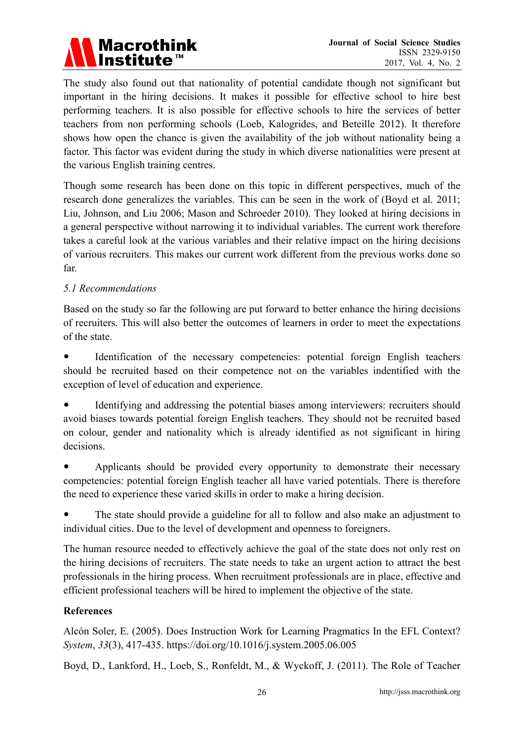

The study also found out that nationality of potential candidate though not significant but important in the hiring decisions. It makes it possible for effective school to hire best performing teachers. It is also possible for effective schools to hire the services of better teachers from non performing schools (Loeb, Kalogrides, and Beteille 2012). It therefore shows how open the chance is given the availability of the job without nationality being a factor. This factor was evident during the study in which diverse nationalities were present at the various English training centres.

Though some research has been done on this topic in different perspectives, much of the research done generalizes the variables. This can be seen in the work of (Boyd et al. 2011; Liu, Johnson, and Liu 2006; Mason and Schroeder 2010). They looked at hiring decisions in a general perspective without narrowing it to individual variables. The current work therefore takes a careful look at the various variables and their relative impact on the hiring decisions of various recruiters. This makes our current work different from the previous works done so far.

#### *5.1 Recommendations*

Based on the study so far the following are put forward to better enhance the hiring decisions of recruiters. This will also better the outcomes of learners in order to meet the expectations of the state.

 Identification of the necessary competencies: potential foreign English teachers should be recruited based on their competence not on the variables indentified with the exception of level of education and experience.

 Identifying and addressing the potential biases among interviewers: recruiters should avoid biases towards potential foreign English teachers. They should not be recruited based on colour, gender and nationality which is already identified as not significant in hiring decisions.

 Applicants should be provided every opportunity to demonstrate their necessary competencies: potential foreign English teacher all have varied potentials. There is therefore the need to experience these varied skills in order to make a hiring decision.

 The state should provide a guideline for all to follow and also make an adjustment to individual cities. Due to the level of development and openness to foreigners.

The human resource needed to effectively achieve the goal of the state does not only rest on the hiring decisions of recruiters. The state needs to take an urgent action to attract the best professionals in the hiring process. When recruitment professionals are in place, effective and efficient professional teachers will be hired to implement the objective of the state.

#### **References**

Alcón Soler, E. (2005). Does Instruction Work for Learning Pragmatics In the EFL Context? *System*, *33*(3), 417-435. https://doi.org/10.1016/j.system.2005.06.005

Boyd, D., Lankford, H., Loeb, S., Ronfeldt, M., & Wyckoff, J. (2011). The Role of Teacher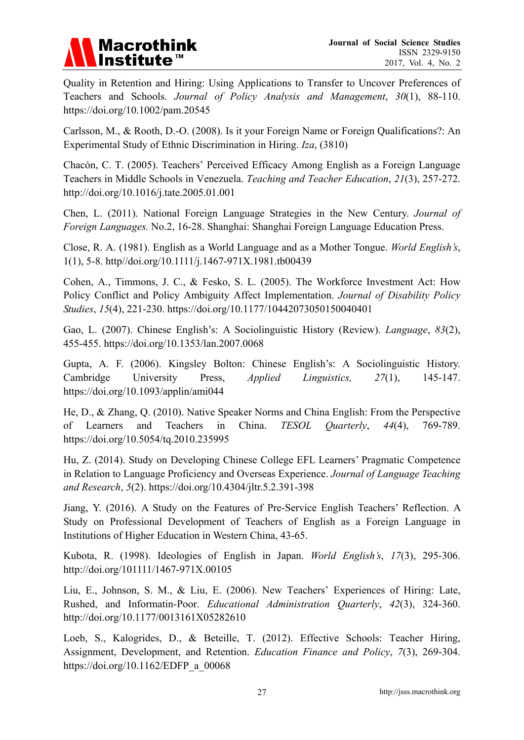

Quality in Retention and Hiring: Using Applications to Transfer to Uncover Preferences of Teachers and Schools. *Journal of Policy Analysis and Management*, *30*(1), 88-110. https://doi.org/10.1002/pam.20545

Carlsson, M., & Rooth, D.-O. (2008). Is it your Foreign Name or Foreign Qualifications?: An Experimental Study of Ethnic Discrimination in Hiring. *Iza*, (3810)

Chacón, C. T. (2005). Teachers' Perceived Efficacy Among English as a Foreign Language Teachers in Middle Schools in Venezuela. *Teaching and Teacher Education*, *21*(3), 257-272. http://doi.org/10.1016/j.tate.2005.01.001

Chen, L. (2011). National Foreign Language Strategies in the New Century. *Journal of Foreign Languages.* No.2, 16-28. Shanghai: Shanghai Foreign Language Education Press.

Close, R. A. (1981). English as a World Language and as a Mother Tongue. *World English's*, 1(1), 5-8. http//doi.org/10.1111/j.1467-971X.1981.tb00439

Cohen, A., Timmons, J. C., & Fesko, S. L. (2005). The Workforce Investment Act: How Policy Conflict and Policy Ambiguity Affect Implementation. *Journal of Disability Policy Studies*, *15*(4), 221-230. https://doi.org/10.1177/10442073050150040401

Gao, L. (2007). Chinese English's: A Sociolinguistic History (Review). *Language*, *83*(2), 455-455. https://doi.org/10.1353/lan.2007.0068

Gupta, A. F. (2006). Kingsley Bolton: Chinese English's: A Sociolinguistic History. Cambridge University Press, *Applied Linguistics, 27*(1), 145-147. https://doi.org/10.1093/applin/ami044

He, D., & Zhang, Q. (2010). Native Speaker Norms and China English: From the Perspective of Learners and Teachers in China. *TESOL Quarterly*, *44*(4), 769-789. https://doi.org/10.5054/tq.2010.235995

Hu, Z. (2014). Study on Developing Chinese College EFL Learners' Pragmatic Competence in Relation to Language Proficiency and Overseas Experience. *Journal of Language Teaching and Research*, *5*(2). https://doi.org/10.4304/jltr.5.2.391-398

Jiang, Y. (2016). A Study on the Features of Pre-Service English Teachers' Reflection. A Study on Professional Development of Teachers of English as a Foreign Language in Institutions of Higher Education in Western China, 43-65.

Kubota, R. (1998). Ideologies of English in Japan. *World English's*, *17*(3), 295-306. http://doi.org/101111/1467-971X.00105

Liu, E., Johnson, S. M., & Liu, E. (2006). New Teachers' Experiences of Hiring: Late, Rushed, and Informatin-Poor. *Educational Administration Quarterly*, *42*(3), 324-360. http://doi.org/10.1177/0013161X05282610

Loeb, S., Kalogrides, D., & Beteille, T. (2012). Effective Schools: Teacher Hiring, Assignment, Development, and Retention. *Education Finance and Policy*, *7*(3), 269-304. https://doi.org/10.1162/EDFP\_a\_00068